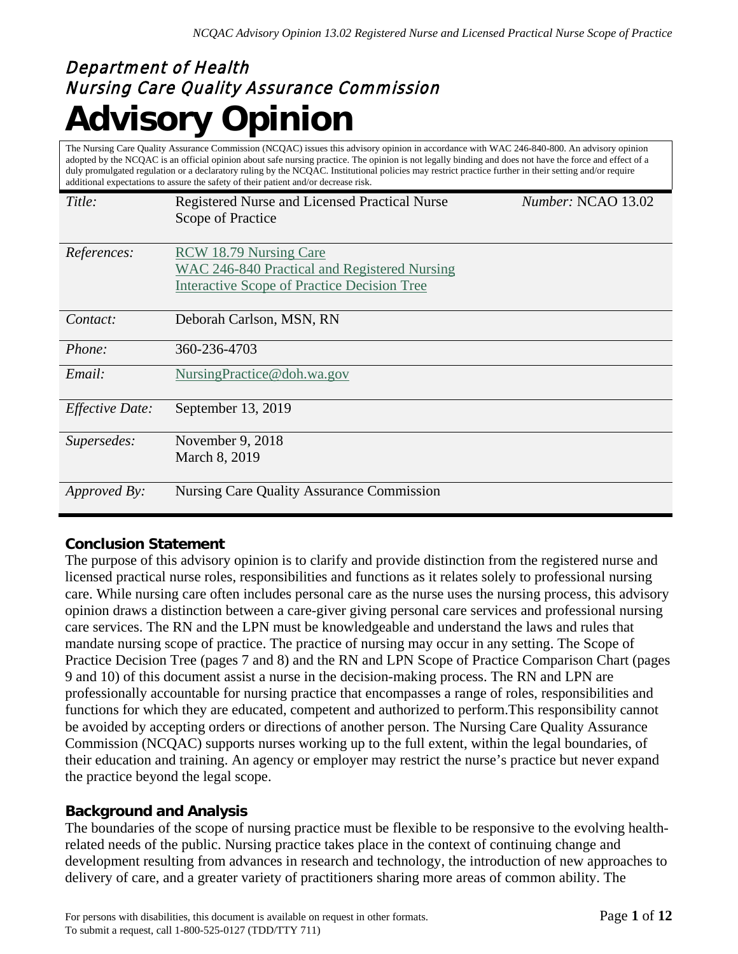# Department of Health Nursing Care Quality Assurance Commission **Advisory Opinion**

The Nursing Care Quality Assurance Commission (NCQAC) issues this advisory opinion in accordance with WAC 246-840-800. An advisory opinion adopted by the NCQAC is an official opinion about safe nursing practice. The opinion is not legally binding and does not have the force and effect of a duly promulgated regulation or a declaratory ruling by the NCQAC. Institutional policies may restrict practice further in their setting and/or require additional expectations to assure the safety of their patient and/or decrease risk.

| Title:                 | Registered Nurse and Licensed Practical Nurse<br>Scope of Practice | Number: NCAO 13.02 |
|------------------------|--------------------------------------------------------------------|--------------------|
|                        |                                                                    |                    |
| <i>References:</i>     | RCW 18.79 Nursing Care                                             |                    |
|                        | <b>WAC 246-840 Practical and Registered Nursing</b>                |                    |
|                        | <b>Interactive Scope of Practice Decision Tree</b>                 |                    |
|                        |                                                                    |                    |
| Contact:               | Deborah Carlson, MSN, RN                                           |                    |
| <i>Phone:</i>          | 360-236-4703                                                       |                    |
| Email:                 | NursingPractice@doh.wa.gov                                         |                    |
| <b>Effective Date:</b> | September 13, 2019                                                 |                    |
| Supersedes:            | November 9, 2018                                                   |                    |
|                        | March 8, 2019                                                      |                    |
| <i>Approved By:</i>    | <b>Nursing Care Quality Assurance Commission</b>                   |                    |

# **Conclusion Statement**

The purpose of this advisory opinion is to clarify and provide distinction from the registered nurse and licensed practical nurse roles, responsibilities and functions as it relates solely to professional nursing care. While nursing care often includes personal care as the nurse uses the nursing process, this advisory opinion draws a distinction between a care-giver giving personal care services and professional nursing care services. The RN and the LPN must be knowledgeable and understand the laws and rules that mandate nursing scope of practice. The practice of nursing may occur in any setting. The Scope of Practice Decision Tree (pages 7 and 8) and the RN and LPN Scope of Practice Comparison Chart (pages 9 and 10) of this document assist a nurse in the decision-making process. The RN and LPN are professionally accountable for nursing practice that encompasses a range of roles, responsibilities and functions for which they are educated, competent and authorized to perform.This responsibility cannot be avoided by accepting orders or directions of another person. The Nursing Care Quality Assurance Commission (NCQAC) supports nurses working up to the full extent, within the legal boundaries, of their education and training. An agency or employer may restrict the nurse's practice but never expand the practice beyond the legal scope.

# **Background and Analysis**

The boundaries of the scope of nursing practice must be flexible to be responsive to the evolving healthrelated needs of the public. Nursing practice takes place in the context of continuing change and development resulting from advances in research and technology, the introduction of new approaches to delivery of care, and a greater variety of practitioners sharing more areas of common ability. The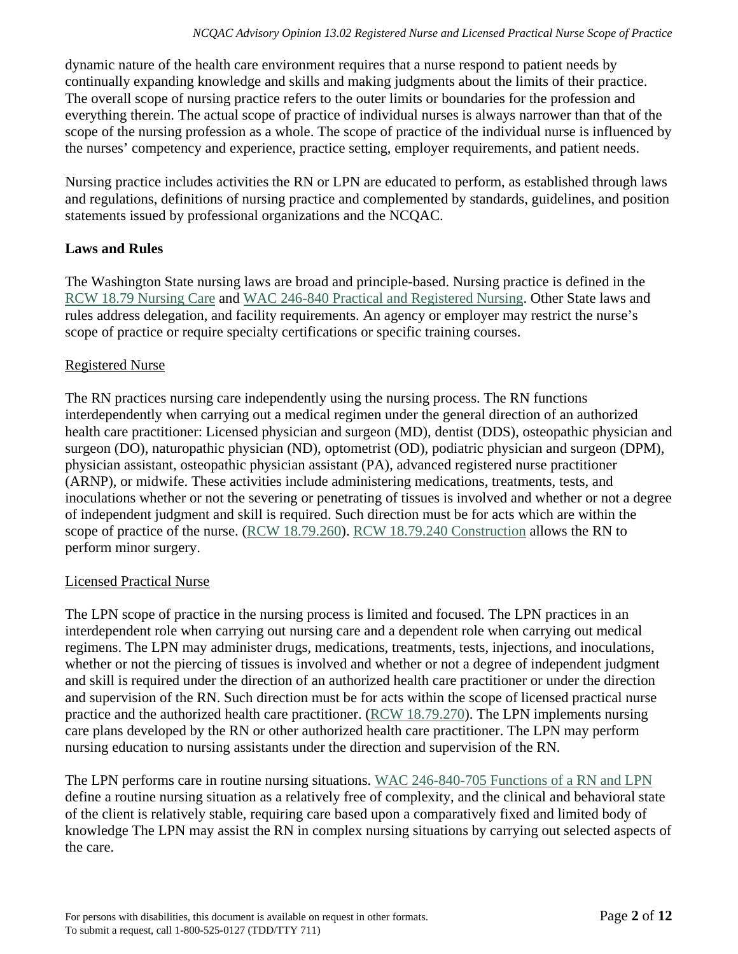dynamic nature of the health care environment requires that a nurse respond to patient needs by continually expanding knowledge and skills and making judgments about the limits of their practice. The overall scope of nursing practice refers to the outer limits or boundaries for the profession and everything therein. The actual scope of practice of individual nurses is always narrower than that of the scope of the nursing profession as a whole. The scope of practice of the individual nurse is influenced by the nurses' competency and experience, practice setting, employer requirements, and patient needs.

Nursing practice includes activities the RN or LPN are educated to perform, as established through laws and regulations, definitions of nursing practice and complemented by standards, guidelines, and position statements issued by professional organizations and the NCQAC.

# **Laws and Rules**

The Washington State nursing laws are broad and principle-based. Nursing practice is defined in the [RCW 18.79 Nursing Care](http://apps.leg.wa.gov/RCW/default.aspx?cite=18.79) and [WAC 246-840 Practical and Registered Nursing.](http://apps.leg.wa.gov/WAC/default.aspx?cite=246-840) Other State laws and rules address delegation, and facility requirements. An agency or employer may restrict the nurse's scope of practice or require specialty certifications or specific training courses.

# Registered Nurse

The RN practices nursing care independently using the nursing process. The RN functions interdependently when carrying out a medical regimen under the general direction of an authorized health care practitioner: Licensed physician and surgeon (MD), dentist (DDS), osteopathic physician and surgeon (DO), naturopathic physician (ND), optometrist (OD), podiatric physician and surgeon (DPM), physician assistant, osteopathic physician assistant (PA), advanced registered nurse practitioner (ARNP), or midwife. These activities include administering medications, treatments, tests, and inoculations whether or not the severing or penetrating of tissues is involved and whether or not a degree of independent judgment and skill is required. Such direction must be for acts which are within the scope of practice of the nurse. [\(RCW 18.79.260\)](http://app.leg.wa.gov/RCW/default.aspx?cite=18.79.260). [RCW 18.79.240 Construction](http://app.leg.wa.gov/RCW/default.aspx?cite=18.79.240) allows the RN to perform minor surgery.

# Licensed Practical Nurse

The LPN scope of practice in the nursing process is limited and focused. The LPN practices in an interdependent role when carrying out nursing care and a dependent role when carrying out medical regimens. The LPN may administer drugs, medications, treatments, tests, injections, and inoculations, whether or not the piercing of tissues is involved and whether or not a degree of independent judgment and skill is required under the direction of an authorized health care practitioner or under the direction and supervision of the RN. Such direction must be for acts within the scope of licensed practical nurse practice and the authorized health care practitioner. [\(RCW 18.79.270\)](http://app.leg.wa.gov/RCW/default.aspx?cite=18.79.270). The LPN implements nursing care plans developed by the RN or other authorized health care practitioner. The LPN may perform nursing education to nursing assistants under the direction and supervision of the RN.

The LPN performs care in routine nursing situations. [WAC 246-840-705 Functions of a RN and LPN](http://apps.leg.wa.gov/WAC/default.aspx?cite=246-840-705)  define a routine nursing situation as a relatively free of complexity, and the clinical and behavioral state of the client is relatively stable, requiring care based upon a comparatively fixed and limited body of knowledge The LPN may assist the RN in complex nursing situations by carrying out selected aspects of the care.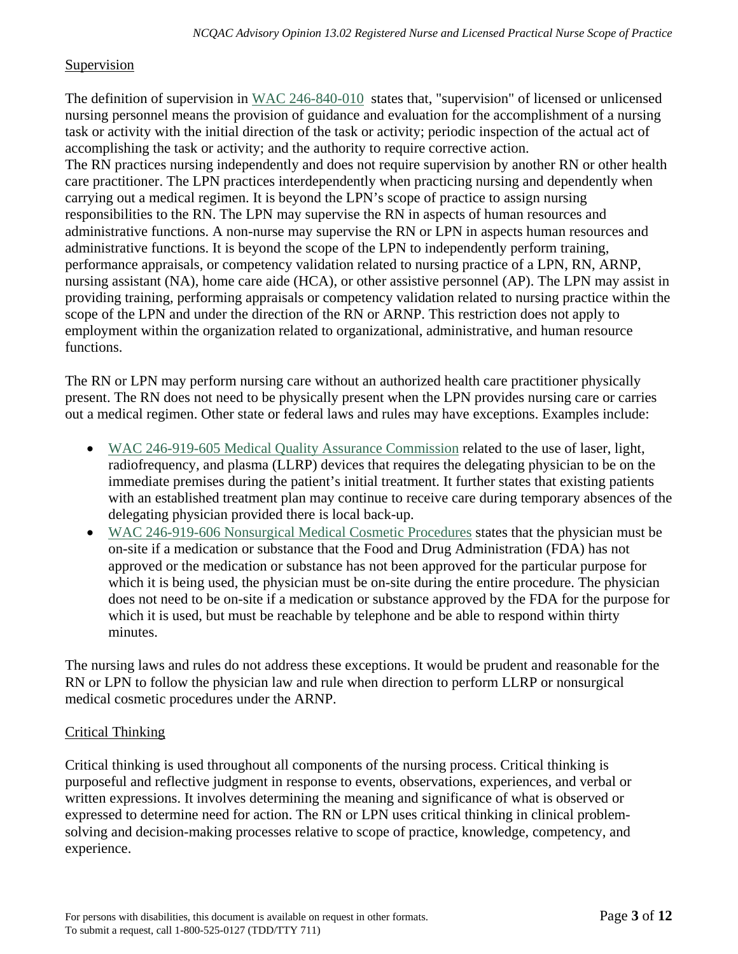#### Supervision

The definition of supervision in [WAC 246-840-010](http://apps.leg.wa.gov/WAC/default.aspx?cite=246-840-010) states that, "supervision" of licensed or unlicensed nursing personnel means the provision of guidance and evaluation for the accomplishment of a nursing task or activity with the initial direction of the task or activity; periodic inspection of the actual act of accomplishing the task or activity; and the authority to require corrective action. The RN practices nursing independently and does not require supervision by another RN or other health care practitioner. The LPN practices interdependently when practicing nursing and dependently when carrying out a medical regimen. It is beyond the LPN's scope of practice to assign nursing responsibilities to the RN. The LPN may supervise the RN in aspects of human resources and administrative functions. A non-nurse may supervise the RN or LPN in aspects human resources and administrative functions. It is beyond the scope of the LPN to independently perform training, performance appraisals, or competency validation related to nursing practice of a LPN, RN, ARNP, nursing assistant (NA), home care aide (HCA), or other assistive personnel (AP). The LPN may assist in providing training, performing appraisals or competency validation related to nursing practice within the scope of the LPN and under the direction of the RN or ARNP. This restriction does not apply to employment within the organization related to organizational, administrative, and human resource functions.

The RN or LPN may perform nursing care without an authorized health care practitioner physically present. The RN does not need to be physically present when the LPN provides nursing care or carries out a medical regimen. Other state or federal laws and rules may have exceptions. Examples include:

- [WAC 246-919-605 Medical Quality Assurance Commission](https://app.leg.wa.gov/wac/default.aspx?cite=246-919-605) related to the use of laser, light, radiofrequency, and plasma (LLRP) devices that requires the delegating physician to be on the immediate premises during the patient's initial treatment. It further states that existing patients with an established treatment plan may continue to receive care during temporary absences of the delegating physician provided there is local back-up.
- [WAC 246-919-606 Nonsurgical Medical Cosmetic Procedures](https://app.leg.wa.gov/wac/default.aspx?cite=246-919-606) states that the physician must be on-site if a medication or substance that the Food and Drug Administration (FDA) has not approved or the medication or substance has not been approved for the particular purpose for which it is being used, the physician must be on-site during the entire procedure. The physician does not need to be on-site if a medication or substance approved by the FDA for the purpose for which it is used, but must be reachable by telephone and be able to respond within thirty minutes.

The nursing laws and rules do not address these exceptions. It would be prudent and reasonable for the RN or LPN to follow the physician law and rule when direction to perform LLRP or nonsurgical medical cosmetic procedures under the ARNP.

# Critical Thinking

Critical thinking is used throughout all components of the nursing process. Critical thinking is purposeful and reflective judgment in response to events, observations, experiences, and verbal or written expressions. It involves determining the meaning and significance of what is observed or expressed to determine need for action. The RN or LPN uses critical thinking in clinical problemsolving and decision-making processes relative to scope of practice, knowledge, competency, and experience.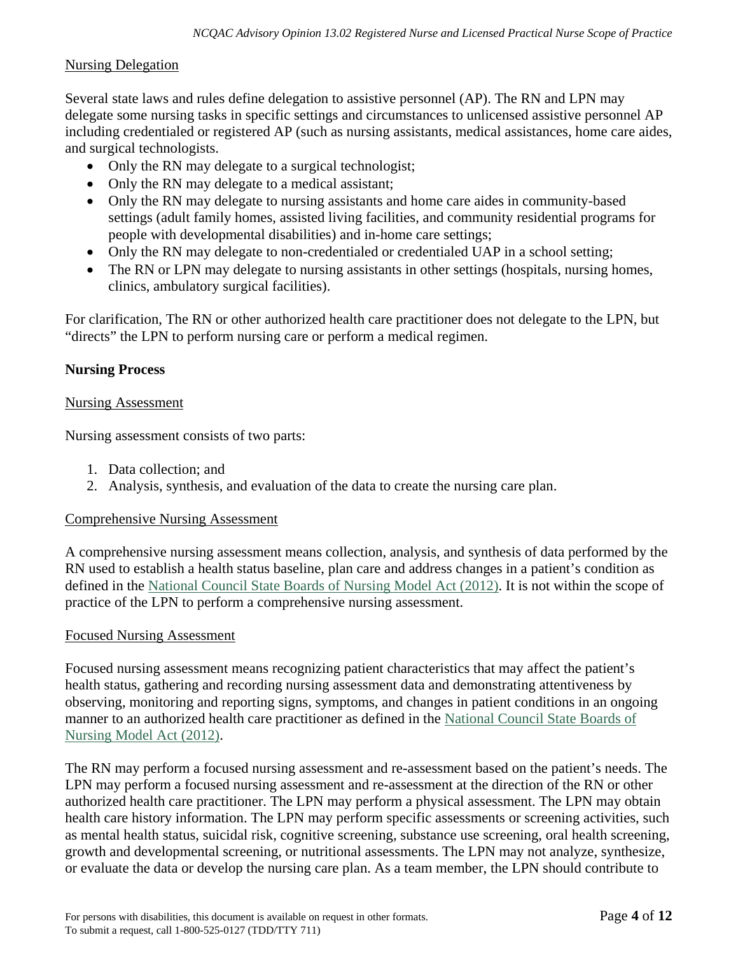#### Nursing Delegation

Several state laws and rules define delegation to assistive personnel (AP). The RN and LPN may delegate some nursing tasks in specific settings and circumstances to unlicensed assistive personnel AP including credentialed or registered AP (such as nursing assistants, medical assistances, home care aides, and surgical technologists.

- Only the RN may delegate to a surgical technologist;
- Only the RN may delegate to a medical assistant;
- Only the RN may delegate to nursing assistants and home care aides in community-based settings (adult family homes, assisted living facilities, and community residential programs for people with developmental disabilities) and in-home care settings;
- Only the RN may delegate to non-credentialed or credentialed UAP in a school setting;
- The RN or LPN may delegate to nursing assistants in other settings (hospitals, nursing homes, clinics, ambulatory surgical facilities).

For clarification, The RN or other authorized health care practitioner does not delegate to the LPN, but "directs" the LPN to perform nursing care or perform a medical regimen.

## **Nursing Process**

#### Nursing Assessment

Nursing assessment consists of two parts:

- 1. Data collection; and
- 2. Analysis, synthesis, and evaluation of the data to create the nursing care plan.

#### Comprehensive Nursing Assessment

A comprehensive nursing assessment means collection, analysis, and synthesis of data performed by the RN used to establish a health status baseline, plan care and address changes in a patient's condition as defined in the [National Council State Boards of Nursing Model Act \(2012\).](https://www.ncsbn.org/3867.htm) It is not within the scope of practice of the LPN to perform a comprehensive nursing assessment.

#### Focused Nursing Assessment

Focused nursing assessment means recognizing patient characteristics that may affect the patient's health status, gathering and recording nursing assessment data and demonstrating attentiveness by observing, monitoring and reporting signs, symptoms, and changes in patient conditions in an ongoing manner to an authorized health care practitioner as defined in the [National Council State Boards of](https://www.ncsbn.org/3867.htm)  [Nursing Model Act \(2012\).](https://www.ncsbn.org/3867.htm)

The RN may perform a focused nursing assessment and re-assessment based on the patient's needs. The LPN may perform a focused nursing assessment and re-assessment at the direction of the RN or other authorized health care practitioner. The LPN may perform a physical assessment. The LPN may obtain health care history information. The LPN may perform specific assessments or screening activities, such as mental health status, suicidal risk, cognitive screening, substance use screening, oral health screening, growth and developmental screening, or nutritional assessments. The LPN may not analyze, synthesize, or evaluate the data or develop the nursing care plan. As a team member, the LPN should contribute to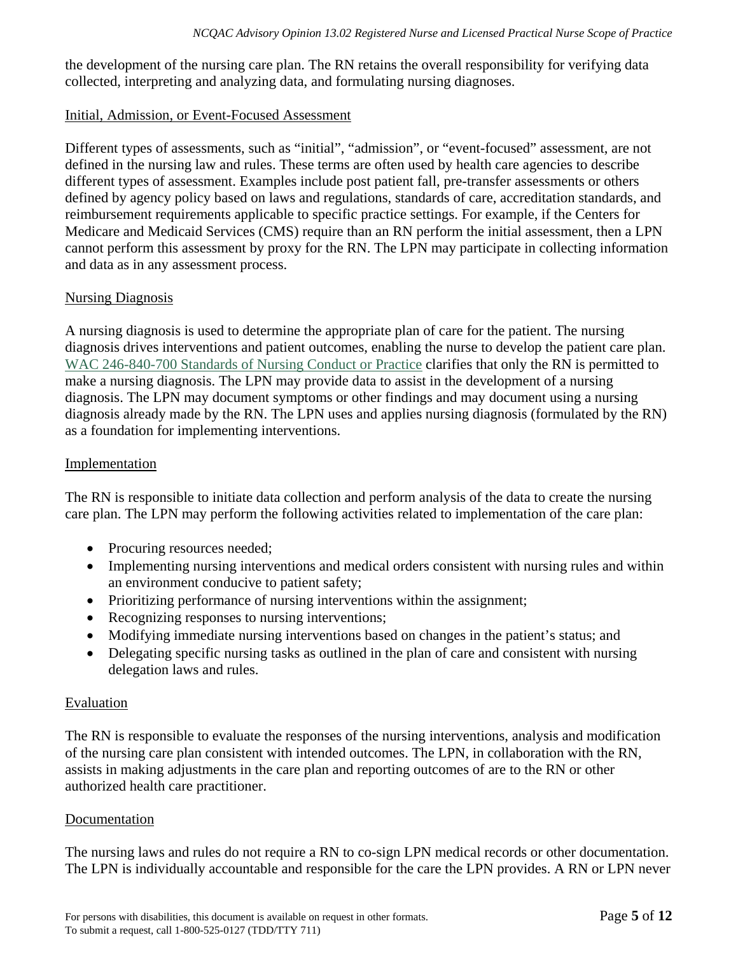the development of the nursing care plan. The RN retains the overall responsibility for verifying data collected, interpreting and analyzing data, and formulating nursing diagnoses.

#### Initial, Admission, or Event-Focused Assessment

Different types of assessments, such as "initial", "admission", or "event-focused" assessment, are not defined in the nursing law and rules. These terms are often used by health care agencies to describe different types of assessment. Examples include post patient fall, pre-transfer assessments or others defined by agency policy based on laws and regulations, standards of care, accreditation standards, and reimbursement requirements applicable to specific practice settings. For example, if the Centers for Medicare and Medicaid Services (CMS) require than an RN perform the initial assessment, then a LPN cannot perform this assessment by proxy for the RN. The LPN may participate in collecting information and data as in any assessment process.

# Nursing Diagnosis

A nursing diagnosis is used to determine the appropriate plan of care for the patient. The nursing diagnosis drives interventions and patient outcomes, enabling the nurse to develop the patient care plan. [WAC 246-840-700 Standards of Nursing Conduct or Practice](http://apps.leg.wa.gov/WAC/default.aspx?cite=246-840-700) clarifies that only the RN is permitted to make a nursing diagnosis. The LPN may provide data to assist in the development of a nursing diagnosis. The LPN may document symptoms or other findings and may document using a nursing diagnosis already made by the RN. The LPN uses and applies nursing diagnosis (formulated by the RN) as a foundation for implementing interventions.

#### Implementation

The RN is responsible to initiate data collection and perform analysis of the data to create the nursing care plan. The LPN may perform the following activities related to implementation of the care plan:

- Procuring resources needed;
- Implementing nursing interventions and medical orders consistent with nursing rules and within an environment conducive to patient safety;
- Prioritizing performance of nursing interventions within the assignment;
- Recognizing responses to nursing interventions;
- Modifying immediate nursing interventions based on changes in the patient's status; and
- Delegating specific nursing tasks as outlined in the plan of care and consistent with nursing delegation laws and rules.

#### Evaluation

The RN is responsible to evaluate the responses of the nursing interventions, analysis and modification of the nursing care plan consistent with intended outcomes. The LPN, in collaboration with the RN, assists in making adjustments in the care plan and reporting outcomes of are to the RN or other authorized health care practitioner.

#### Documentation

The nursing laws and rules do not require a RN to co-sign LPN medical records or other documentation. The LPN is individually accountable and responsible for the care the LPN provides. A RN or LPN never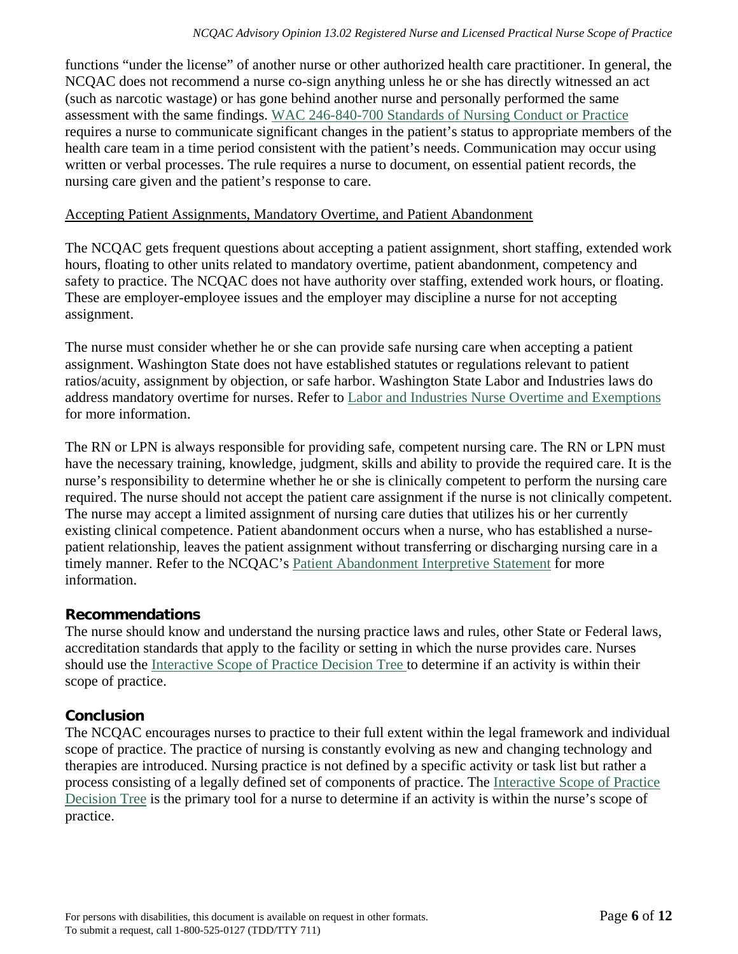functions "under the license" of another nurse or other authorized health care practitioner. In general, the NCQAC does not recommend a nurse co-sign anything unless he or she has directly witnessed an act (such as narcotic wastage) or has gone behind another nurse and personally performed the same assessment with the same findings. [WAC 246-840-700 Standards of Nursing Conduct or Practice](http://apps.leg.wa.gov/WAC/default.aspx?cite=246-840-700) requires a nurse to communicate significant changes in the patient's status to appropriate members of the health care team in a time period consistent with the patient's needs. Communication may occur using written or verbal processes. The rule requires a nurse to document, on essential patient records, the nursing care given and the patient's response to care.

## Accepting Patient Assignments, Mandatory Overtime, and Patient Abandonment

The NCQAC gets frequent questions about accepting a patient assignment, short staffing, extended work hours, floating to other units related to mandatory overtime, patient abandonment, competency and safety to practice. The NCQAC does not have authority over staffing, extended work hours, or floating. These are employer-employee issues and the employer may discipline a nurse for not accepting assignment.

The nurse must consider whether he or she can provide safe nursing care when accepting a patient assignment. Washington State does not have established statutes or regulations relevant to patient ratios/acuity, assignment by objection, or safe harbor. Washington State Labor and Industries laws do address mandatory overtime for nurses. Refer to [Labor and Industries Nurse Overtime and Exemptions](http://www.lni.wa.gov/WorkplaceRights/Wages/Overtime/Nurse/default.asp)  for more information.

The RN or LPN is always responsible for providing safe, competent nursing care. The RN or LPN must have the necessary training, knowledge, judgment, skills and ability to provide the required care. It is the nurse's responsibility to determine whether he or she is clinically competent to perform the nursing care required. The nurse should not accept the patient care assignment if the nurse is not clinically competent. The nurse may accept a limited assignment of nursing care duties that utilizes his or her currently existing clinical competence. Patient abandonment occurs when a nurse, who has established a nursepatient relationship, leaves the patient assignment without transferring or discharging nursing care in a timely manner. Refer to the NCQAC's [Patient Abandonment Interpretive Statement](https://www.doh.wa.gov/portals/1/Documents/6000/PatientAbndmt.pdf) for more information.

# **Recommendations**

The nurse should know and understand the nursing practice laws and rules, other State or Federal laws, accreditation standards that apply to the facility or setting in which the nurse provides care. Nurses should use the [Interactive Scope of Practice Decision Tree](https://fortress.wa.gov/doh/opinio/s?s=DecisionTree) to determine if an activity is within their scope of practice.

# **Conclusion**

The NCQAC encourages nurses to practice to their full extent within the legal framework and individual scope of practice. The practice of nursing is constantly evolving as new and changing technology and therapies are introduced. Nursing practice is not defined by a specific activity or task list but rather a process consisting of a legally defined set of components of practice. The [Interactive Scope of Practice](https://fortress.wa.gov/doh/opinio/s?s=DecisionTree)  [Decision Tree](https://fortress.wa.gov/doh/opinio/s?s=DecisionTree) is the primary tool for a nurse to determine if an activity is within the nurse's scope of practice.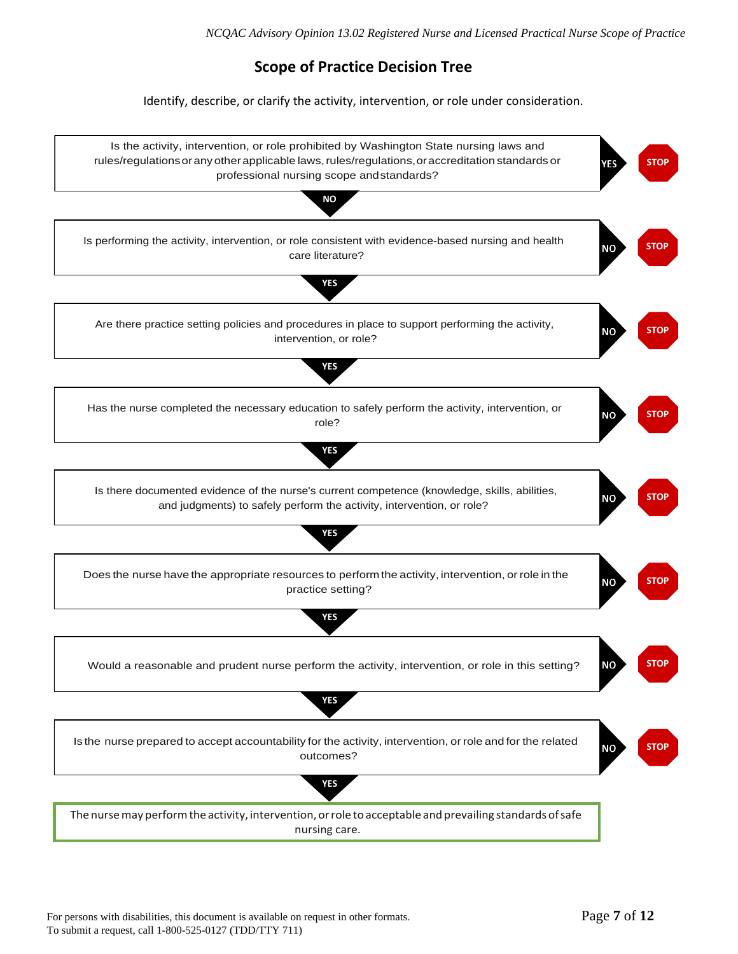# **Scope of Practice Decision Tree**

Identify, describe, or clarify the activity, intervention, or role under consideration.

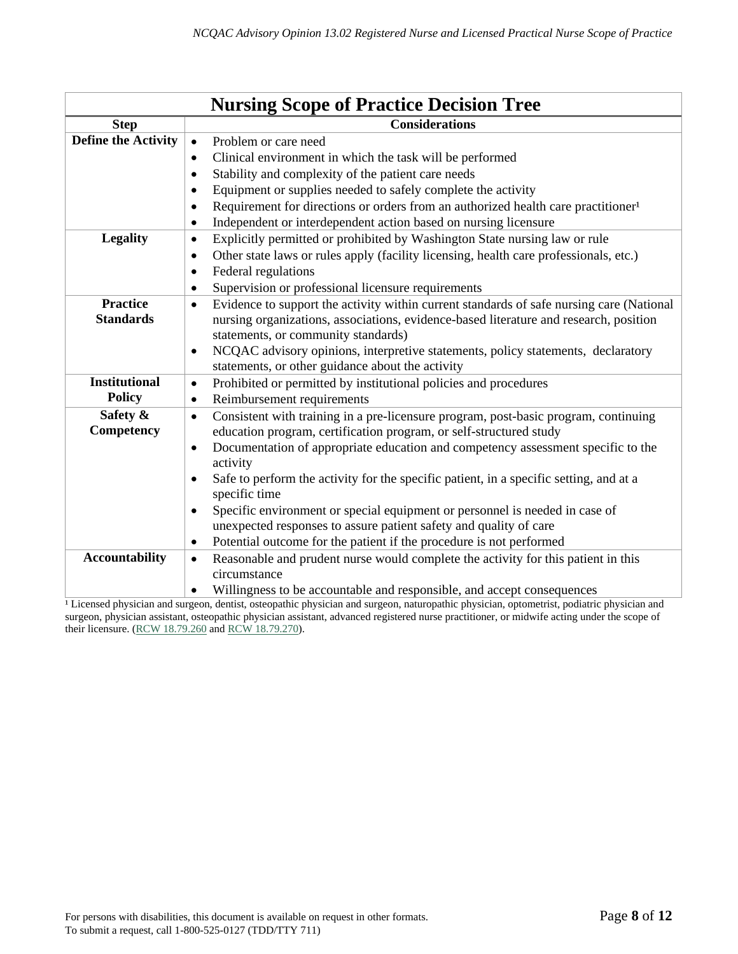| <b>Nursing Scope of Practice Decision Tree</b> |                                                                                                                                                                                                                                                                                                                                                                                                                                                                                                                                                                                                                                                     |  |  |  |
|------------------------------------------------|-----------------------------------------------------------------------------------------------------------------------------------------------------------------------------------------------------------------------------------------------------------------------------------------------------------------------------------------------------------------------------------------------------------------------------------------------------------------------------------------------------------------------------------------------------------------------------------------------------------------------------------------------------|--|--|--|
| <b>Step</b>                                    | <b>Considerations</b>                                                                                                                                                                                                                                                                                                                                                                                                                                                                                                                                                                                                                               |  |  |  |
| <b>Define the Activity</b>                     | Problem or care need<br>$\bullet$<br>Clinical environment in which the task will be performed<br>٠<br>Stability and complexity of the patient care needs<br>$\bullet$<br>Equipment or supplies needed to safely complete the activity<br>$\bullet$<br>Requirement for directions or orders from an authorized health care practitioner <sup>1</sup><br>$\bullet$<br>Independent or interdependent action based on nursing licensure<br>$\bullet$                                                                                                                                                                                                    |  |  |  |
| <b>Legality</b>                                | Explicitly permitted or prohibited by Washington State nursing law or rule<br>$\bullet$<br>Other state laws or rules apply (facility licensing, health care professionals, etc.)<br>$\bullet$<br>Federal regulations<br>$\bullet$<br>Supervision or professional licensure requirements<br>٠                                                                                                                                                                                                                                                                                                                                                        |  |  |  |
| <b>Practice</b><br><b>Standards</b>            | Evidence to support the activity within current standards of safe nursing care (National<br>$\bullet$<br>nursing organizations, associations, evidence-based literature and research, position<br>statements, or community standards)<br>NCQAC advisory opinions, interpretive statements, policy statements, declaratory<br>$\bullet$<br>statements, or other guidance about the activity                                                                                                                                                                                                                                                          |  |  |  |
| <b>Institutional</b><br><b>Policy</b>          | Prohibited or permitted by institutional policies and procedures<br>$\bullet$<br>Reimbursement requirements<br>$\bullet$                                                                                                                                                                                                                                                                                                                                                                                                                                                                                                                            |  |  |  |
| Safety &<br>Competency                         | Consistent with training in a pre-licensure program, post-basic program, continuing<br>$\bullet$<br>education program, certification program, or self-structured study<br>Documentation of appropriate education and competency assessment specific to the<br>$\bullet$<br>activity<br>Safe to perform the activity for the specific patient, in a specific setting, and at a<br>specific time<br>Specific environment or special equipment or personnel is needed in case of<br>$\bullet$<br>unexpected responses to assure patient safety and quality of care<br>Potential outcome for the patient if the procedure is not performed<br>$\bullet$ |  |  |  |
| <b>Accountability</b>                          | Reasonable and prudent nurse would complete the activity for this patient in this<br>$\bullet$<br>circumstance<br>Willingness to be accountable and responsible, and accept consequences<br>$\bullet$                                                                                                                                                                                                                                                                                                                                                                                                                                               |  |  |  |

<sup>1</sup> Licensed physician and surgeon, dentist, osteopathic physician and surgeon, naturopathic physician, optometrist, podiatric physician and surgeon, physician assistant, osteopathic physician assistant, advanced registered nurse practitioner, or midwife acting under the scope of their licensure. [\(RCW 18.79.260 a](http://app.leg.wa.gov/RCW/default.aspx?cite=18.79.260)nd [RCW 18.79.270\)](http://app.leg.wa.gov/RCW/default.aspx?cite=18.79.270).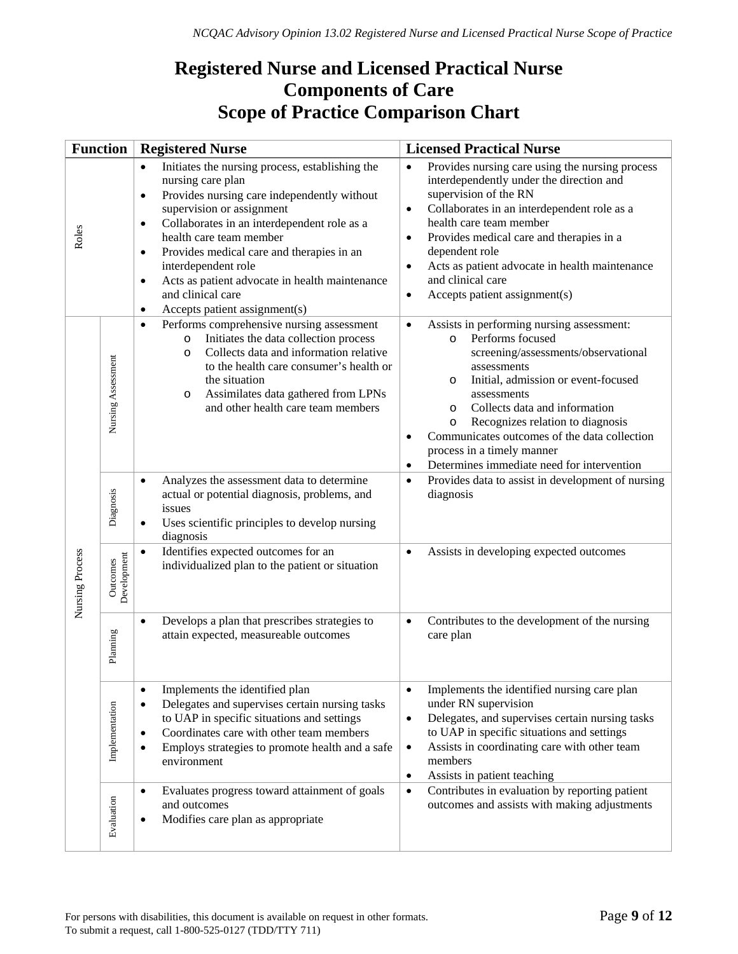# **Registered Nurse and Licensed Practical Nurse Components of Care Scope of Practice Comparison Chart**

| <b>Function</b> |                         | <b>Registered Nurse</b>                                                                                                                                                                                                                                                                                                                                                                                                                                                              | <b>Licensed Practical Nurse</b>                                                                                                                                                                                                                                                                                                                                                                                                                               |
|-----------------|-------------------------|--------------------------------------------------------------------------------------------------------------------------------------------------------------------------------------------------------------------------------------------------------------------------------------------------------------------------------------------------------------------------------------------------------------------------------------------------------------------------------------|---------------------------------------------------------------------------------------------------------------------------------------------------------------------------------------------------------------------------------------------------------------------------------------------------------------------------------------------------------------------------------------------------------------------------------------------------------------|
| Roles           |                         | Initiates the nursing process, establishing the<br>$\bullet$<br>nursing care plan<br>Provides nursing care independently without<br>$\bullet$<br>supervision or assignment<br>Collaborates in an interdependent role as a<br>$\bullet$<br>health care team member<br>Provides medical care and therapies in an<br>$\bullet$<br>interdependent role<br>Acts as patient advocate in health maintenance<br>$\bullet$<br>and clinical care<br>Accepts patient assignment(s)<br>$\bullet$ | Provides nursing care using the nursing process<br>$\bullet$<br>interdependently under the direction and<br>supervision of the RN<br>Collaborates in an interdependent role as a<br>$\bullet$<br>health care team member<br>Provides medical care and therapies in a<br>$\bullet$<br>dependent role<br>Acts as patient advocate in health maintenance<br>$\bullet$<br>and clinical care<br>Accepts patient assignment(s)<br>$\bullet$                         |
| Nursing Process | Nursing Assessment      | Performs comprehensive nursing assessment<br>$\bullet$<br>Initiates the data collection process<br>$\circ$<br>Collects data and information relative<br>$\circ$<br>to the health care consumer's health or<br>the situation<br>Assimilates data gathered from LPNs<br>O<br>and other health care team members                                                                                                                                                                        | Assists in performing nursing assessment:<br>$\bullet$<br>Performs focused<br>$\circ$<br>screening/assessments/observational<br>assessments<br>Initial, admission or event-focused<br>$\circ$<br>assessments<br>Collects data and information<br>$\circ$<br>Recognizes relation to diagnosis<br>$\circ$<br>Communicates outcomes of the data collection<br>$\bullet$<br>process in a timely manner<br>Determines immediate need for intervention<br>$\bullet$ |
|                 | Diagnosis               | Analyzes the assessment data to determine<br>$\bullet$<br>actual or potential diagnosis, problems, and<br>issues<br>Uses scientific principles to develop nursing<br>٠<br>diagnosis                                                                                                                                                                                                                                                                                                  | Provides data to assist in development of nursing<br>$\bullet$<br>diagnosis                                                                                                                                                                                                                                                                                                                                                                                   |
|                 | Development<br>Outcomes | Identifies expected outcomes for an<br>$\bullet$<br>individualized plan to the patient or situation                                                                                                                                                                                                                                                                                                                                                                                  | Assists in developing expected outcomes<br>$\bullet$                                                                                                                                                                                                                                                                                                                                                                                                          |
|                 | Planning                | Develops a plan that prescribes strategies to<br>$\bullet$<br>attain expected, measureable outcomes                                                                                                                                                                                                                                                                                                                                                                                  | Contributes to the development of the nursing<br>$\bullet$<br>care plan                                                                                                                                                                                                                                                                                                                                                                                       |
|                 | Implementation          | Implements the identified plan<br>$\bullet$<br>Delegates and supervises certain nursing tasks<br>$\bullet$<br>to UAP in specific situations and settings<br>Coordinates care with other team members<br>$\bullet$<br>Employs strategies to promote health and a safe<br>$\bullet$<br>environment                                                                                                                                                                                     | Implements the identified nursing care plan<br>$\bullet$<br>under RN supervision<br>Delegates, and supervises certain nursing tasks<br>$\bullet$<br>to UAP in specific situations and settings<br>Assists in coordinating care with other team<br>$\bullet$<br>members<br>Assists in patient teaching<br>$\bullet$                                                                                                                                            |
|                 | Evaluation              | Evaluates progress toward attainment of goals<br>$\bullet$<br>and outcomes<br>Modifies care plan as appropriate<br>$\bullet$                                                                                                                                                                                                                                                                                                                                                         | Contributes in evaluation by reporting patient<br>$\bullet$<br>outcomes and assists with making adjustments                                                                                                                                                                                                                                                                                                                                                   |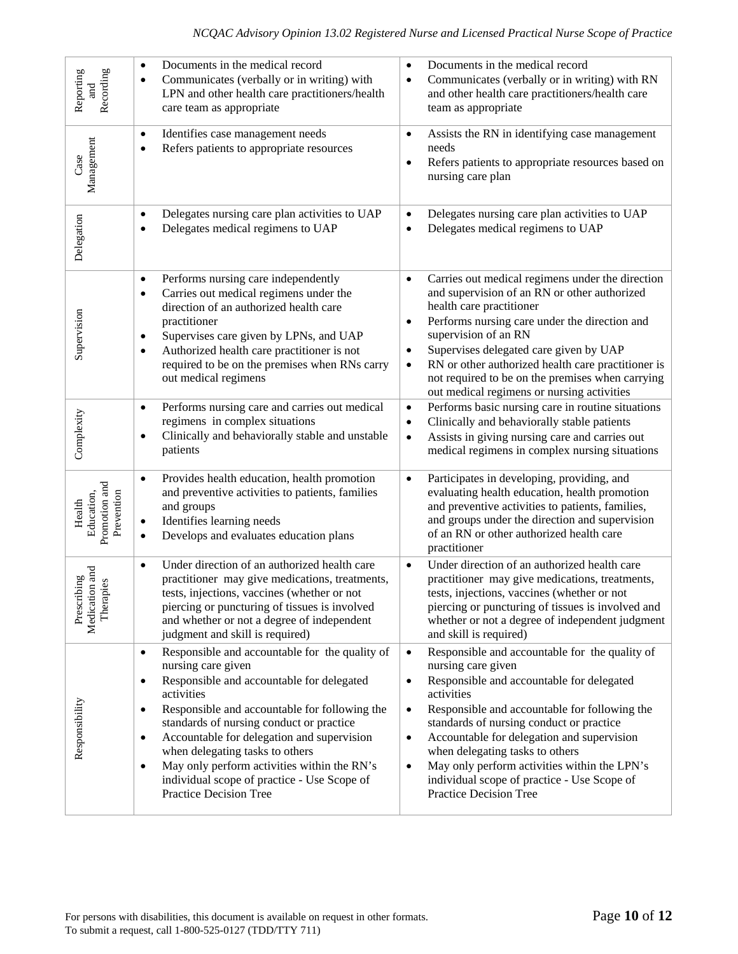| Recording<br>Reporting<br>$_{\rm rad}$                   | Documents in the medical record<br>$\bullet$<br>Communicates (verbally or in writing) with<br>$\bullet$<br>LPN and other health care practitioners/health<br>care team as appropriate                                                                                                                                                                                                                                                                                                                  | Documents in the medical record<br>$\bullet$<br>Communicates (verbally or in writing) with RN<br>$\bullet$<br>and other health care practitioners/health care<br>team as appropriate                                                                                                                                                                                                                                                                                                                    |
|----------------------------------------------------------|--------------------------------------------------------------------------------------------------------------------------------------------------------------------------------------------------------------------------------------------------------------------------------------------------------------------------------------------------------------------------------------------------------------------------------------------------------------------------------------------------------|---------------------------------------------------------------------------------------------------------------------------------------------------------------------------------------------------------------------------------------------------------------------------------------------------------------------------------------------------------------------------------------------------------------------------------------------------------------------------------------------------------|
| Management<br>Case                                       | Identifies case management needs<br>$\bullet$<br>Refers patients to appropriate resources<br>$\bullet$                                                                                                                                                                                                                                                                                                                                                                                                 | Assists the RN in identifying case management<br>$\bullet$<br>needs<br>Refers patients to appropriate resources based on<br>$\bullet$<br>nursing care plan                                                                                                                                                                                                                                                                                                                                              |
| Delegation                                               | Delegates nursing care plan activities to UAP<br>$\bullet$<br>Delegates medical regimens to UAP<br>$\bullet$                                                                                                                                                                                                                                                                                                                                                                                           | Delegates nursing care plan activities to UAP<br>$\bullet$<br>Delegates medical regimens to UAP<br>$\bullet$                                                                                                                                                                                                                                                                                                                                                                                            |
| Supervision                                              | Performs nursing care independently<br>$\bullet$<br>Carries out medical regimens under the<br>$\bullet$<br>direction of an authorized health care<br>practitioner<br>Supervises care given by LPNs, and UAP<br>٠<br>Authorized health care practitioner is not<br>٠<br>required to be on the premises when RNs carry<br>out medical regimens                                                                                                                                                           | Carries out medical regimens under the direction<br>$\bullet$<br>and supervision of an RN or other authorized<br>health care practitioner<br>Performs nursing care under the direction and<br>٠<br>supervision of an RN<br>Supervises delegated care given by UAP<br>$\bullet$<br>RN or other authorized health care practitioner is<br>$\bullet$<br>not required to be on the premises when carrying<br>out medical regimens or nursing activities                                                     |
| Complexity                                               | Performs nursing care and carries out medical<br>$\bullet$<br>regimens in complex situations<br>Clinically and behaviorally stable and unstable<br>$\bullet$<br>patients                                                                                                                                                                                                                                                                                                                               | Performs basic nursing care in routine situations<br>$\bullet$<br>Clinically and behaviorally stable patients<br>$\bullet$<br>Assists in giving nursing care and carries out<br>$\bullet$<br>medical regimens in complex nursing situations                                                                                                                                                                                                                                                             |
| Promotion and<br>Prevention<br>Education,<br>Health      | Provides health education, health promotion<br>$\bullet$<br>and preventive activities to patients, families<br>and groups<br>Identifies learning needs<br>$\bullet$<br>Develops and evaluates education plans<br>$\bullet$                                                                                                                                                                                                                                                                             | Participates in developing, providing, and<br>$\bullet$<br>evaluating health education, health promotion<br>and preventive activities to patients, families,<br>and groups under the direction and supervision<br>of an RN or other authorized health care<br>practitioner                                                                                                                                                                                                                              |
| on and<br>bing<br>Medication at<br>Therapies<br>Prescril | Under direction of an authorized health care<br>$\bullet$<br>practitioner may give medications, treatments,<br>tests, injections, vaccines (whether or not<br>piercing or puncturing of tissues is involved<br>and whether or not a degree of independent<br>judgment and skill is required)                                                                                                                                                                                                           | Under direction of an authorized health care<br>$\bullet$<br>practitioner may give medications, treatments,<br>tests, injections, vaccines (whether or not<br>piercing or puncturing of tissues is involved and<br>whether or not a degree of independent judgment<br>and skill is required)                                                                                                                                                                                                            |
| Responsibility                                           | Responsible and accountable for the quality of<br>$\bullet$<br>nursing care given<br>Responsible and accountable for delegated<br>$\bullet$<br>activities<br>Responsible and accountable for following the<br>$\bullet$<br>standards of nursing conduct or practice<br>Accountable for delegation and supervision<br>$\bullet$<br>when delegating tasks to others<br>May only perform activities within the RN's<br>$\bullet$<br>individual scope of practice - Use Scope of<br>Practice Decision Tree | Responsible and accountable for the quality of<br>$\bullet$<br>nursing care given<br>Responsible and accountable for delegated<br>$\bullet$<br>activities<br>Responsible and accountable for following the<br>$\bullet$<br>standards of nursing conduct or practice<br>Accountable for delegation and supervision<br>$\bullet$<br>when delegating tasks to others<br>May only perform activities within the LPN's<br>$\bullet$<br>individual scope of practice - Use Scope of<br>Practice Decision Tree |
|                                                          | For persons with disabilities, this document is available on request in other formats.<br>To submit a request, call 1-800-525-0127 (TDD/TTY 711)                                                                                                                                                                                                                                                                                                                                                       | Page 10 of 12                                                                                                                                                                                                                                                                                                                                                                                                                                                                                           |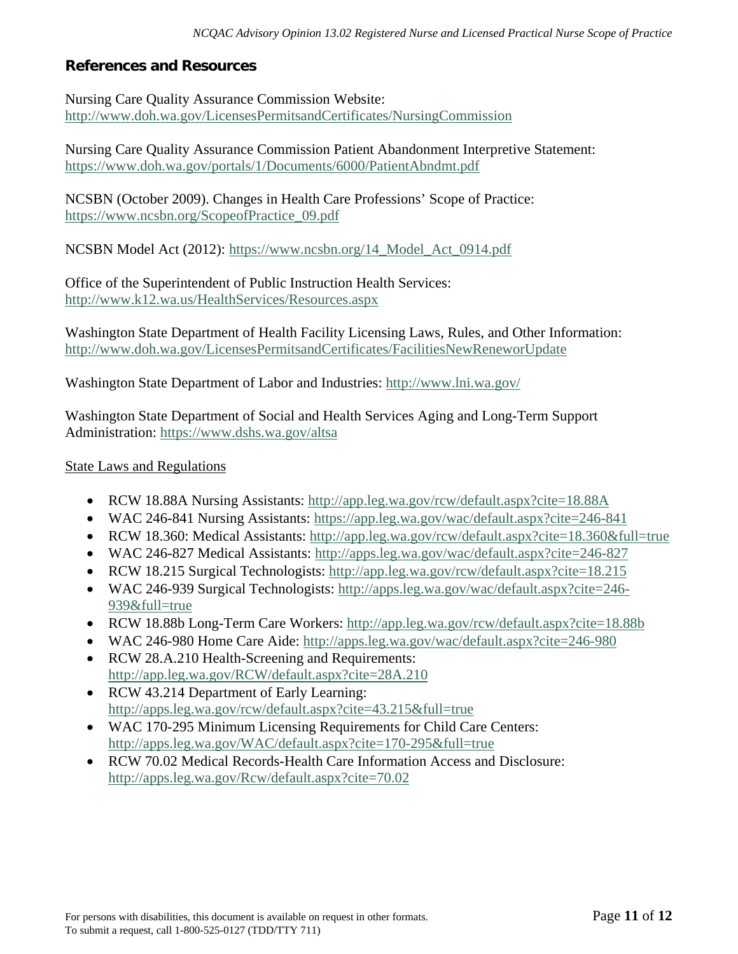# **References and Resources**

Nursing Care Quality Assurance Commission Website: <http://www.doh.wa.gov/LicensesPermitsandCertificates/NursingCommission>

Nursing Care Quality Assurance Commission Patient Abandonment Interpretive Statement: <https://www.doh.wa.gov/portals/1/Documents/6000/PatientAbndmt.pdf>

NCSBN (October 2009). Changes in Health Care Professions' Scope of Practice: [https://www.ncsbn.org/ScopeofPractice\\_09.pdf](https://www.ncsbn.org/ScopeofPractice_09.pdf)

NCSBN Model Act (2012): [https://www.ncsbn.org/14\\_Model\\_Act\\_0914.pdf](https://www.ncsbn.org/14_Model_Act_0914.pdf)

Office of the Superintendent of Public Instruction Health Services: <http://www.k12.wa.us/HealthServices/Resources.aspx>

Washington State Department of Health Facility Licensing Laws, Rules, and Other Information: <http://www.doh.wa.gov/LicensesPermitsandCertificates/FacilitiesNewReneworUpdate>

Washington State Department of Labor and Industries:<http://www.lni.wa.gov/>

Washington State Department of Social and Health Services Aging and Long-Term Support Administration:<https://www.dshs.wa.gov/altsa>

#### State Laws and Regulations

- RCW 18.88A Nursing Assistants: http://app.leg.wa.gov/rcw/default.aspx?cite=18.88A
- WAC 246-841 Nursing Assistants: https://app.leg.wa.gov/wac/default.aspx?cite=246-841
- RCW 18.360: Medical Assistants: http://app.leg.wa.gov/rcw/default.aspx?cite=18.360&full=true
- WAC 246-827 Medical Assistants: http://apps.leg.wa.gov/wac/default.aspx?cite=246-827
- RCW 18.215 Surgical Technologists: http://app.leg.wa.gov/rcw/default.aspx?cite=18.215
- WAC 246-939 Surgical Technologists: [http://apps.leg.wa.gov/wac/default.aspx?cite=246-](http://apps.leg.wa.gov/wac/default.aspx?cite=246-939&full=true) [939&full=true](http://apps.leg.wa.gov/wac/default.aspx?cite=246-939&full=true)
- RCW 18.88b Long-Term Care Workers:<http://app.leg.wa.gov/rcw/default.aspx?cite=18.88b>
- WAC 246-980 Home Care Aide:<http://apps.leg.wa.gov/wac/default.aspx?cite=246-980>
- RCW 28.A.210 Health-Screening and Requirements: <http://app.leg.wa.gov/RCW/default.aspx?cite=28A.210>
- RCW 43.214 Department of Early Learning: <http://apps.leg.wa.gov/rcw/default.aspx?cite=43.215&full=true>
- WAC 170-295 Minimum Licensing Requirements for Child Care Centers: <http://apps.leg.wa.gov/WAC/default.aspx?cite=170-295&full=true>
- RCW 70.02 Medical Records-Health Care Information Access and Disclosure: <http://apps.leg.wa.gov/Rcw/default.aspx?cite=70.02>